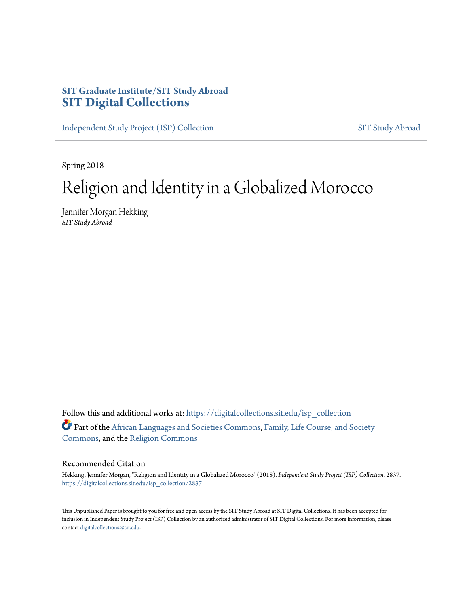# **SIT Graduate Institute/SIT Study Abroad [SIT Digital Collections](https://digitalcollections.sit.edu?utm_source=digitalcollections.sit.edu%2Fisp_collection%2F2837&utm_medium=PDF&utm_campaign=PDFCoverPages)**

[Independent Study Project \(ISP\) Collection](https://digitalcollections.sit.edu/isp_collection?utm_source=digitalcollections.sit.edu%2Fisp_collection%2F2837&utm_medium=PDF&utm_campaign=PDFCoverPages) [SIT Study Abroad](https://digitalcollections.sit.edu/study_abroad?utm_source=digitalcollections.sit.edu%2Fisp_collection%2F2837&utm_medium=PDF&utm_campaign=PDFCoverPages)

Spring 2018

# Religion and Identity in a Globalized Morocco

Jennifer Morgan Hekking *SIT Study Abroad*

Follow this and additional works at: [https://digitalcollections.sit.edu/isp\\_collection](https://digitalcollections.sit.edu/isp_collection?utm_source=digitalcollections.sit.edu%2Fisp_collection%2F2837&utm_medium=PDF&utm_campaign=PDFCoverPages) Part of the [African Languages and Societies Commons](http://network.bepress.com/hgg/discipline/476?utm_source=digitalcollections.sit.edu%2Fisp_collection%2F2837&utm_medium=PDF&utm_campaign=PDFCoverPages), [Family, Life Course, and Society](http://network.bepress.com/hgg/discipline/419?utm_source=digitalcollections.sit.edu%2Fisp_collection%2F2837&utm_medium=PDF&utm_campaign=PDFCoverPages) [Commons,](http://network.bepress.com/hgg/discipline/419?utm_source=digitalcollections.sit.edu%2Fisp_collection%2F2837&utm_medium=PDF&utm_campaign=PDFCoverPages) and the [Religion Commons](http://network.bepress.com/hgg/discipline/538?utm_source=digitalcollections.sit.edu%2Fisp_collection%2F2837&utm_medium=PDF&utm_campaign=PDFCoverPages)

#### Recommended Citation

Hekking, Jennifer Morgan, "Religion and Identity in a Globalized Morocco" (2018). *Independent Study Project (ISP) Collection*. 2837. [https://digitalcollections.sit.edu/isp\\_collection/2837](https://digitalcollections.sit.edu/isp_collection/2837?utm_source=digitalcollections.sit.edu%2Fisp_collection%2F2837&utm_medium=PDF&utm_campaign=PDFCoverPages)

This Unpublished Paper is brought to you for free and open access by the SIT Study Abroad at SIT Digital Collections. It has been accepted for inclusion in Independent Study Project (ISP) Collection by an authorized administrator of SIT Digital Collections. For more information, please contact [digitalcollections@sit.edu](mailto:digitalcollections@sit.edu).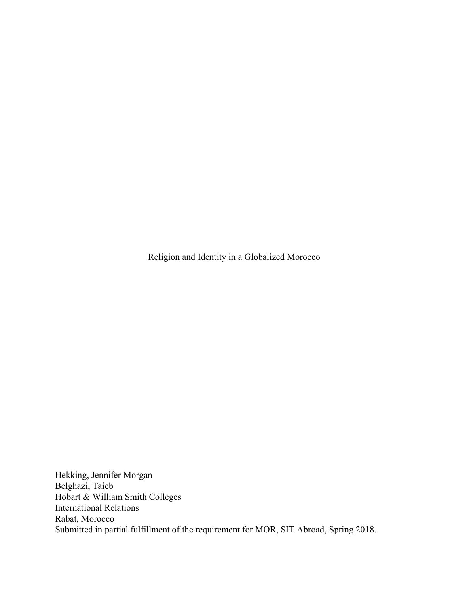Religion and Identity in a Globalized Morocco

Hekking, Jennifer Morgan Belghazi, Taieb Hobart & William Smith Colleges International Relations Rabat, Morocco Submitted in partial fulfillment of the requirement for MOR, SIT Abroad, Spring 2018.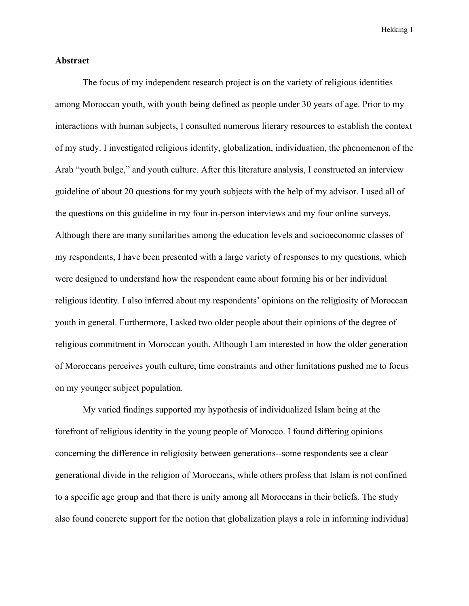#### **Abstract**

The focus of my independent research project is on the variety of religious identities among Moroccan youth, with youth being defined as people under 30 years of age. Prior to my interactions with human subjects, I consulted numerous literary resources to establish the context of my study. I investigated religious identity, globalization, individuation, the phenomenon of the Arab "youth bulge," and youth culture. After this literature analysis, I constructed an interview guideline of about 20 questions for my youth subjects with the help of my advisor. I used all of the questions on this guideline in my four in-person interviews and my four online surveys. Although there are many similarities among the education levels and socioeconomic classes of my respondents, I have been presented with a large variety of responses to my questions, which were designed to understand how the respondent came about forming his or her individual religious identity. I also inferred about my respondents' opinions on the religiosity of Moroccan youth in general. Furthermore, I asked two older people about their opinions of the degree of religious commitment in Moroccan youth. Although I am interested in how the older generation of Moroccans perceives youth culture, time constraints and other limitations pushed me to focus on my younger subject population.

My varied findings supported my hypothesis of individualized Islam being at the forefront of religious identity in the young people of Morocco. I found differing opinions concerning the difference in religiosity between generations--some respondents see a clear generational divide in the religion of Moroccans, while others profess that Islam is not confined to a specific age group and that there is unity among all Moroccans in their beliefs. The study also found concrete support for the notion that globalization plays a role in informing individual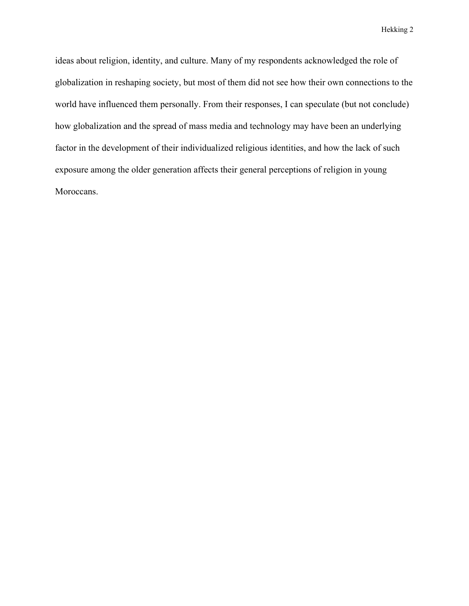ideas about religion, identity, and culture. Many of my respondents acknowledged the role of globalization in reshaping society, but most of them did not see how their own connections to the world have influenced them personally. From their responses, I can speculate (but not conclude) how globalization and the spread of mass media and technology may have been an underlying factor in the development of their individualized religious identities, and how the lack of such exposure among the older generation affects their general perceptions of religion in young Moroccans.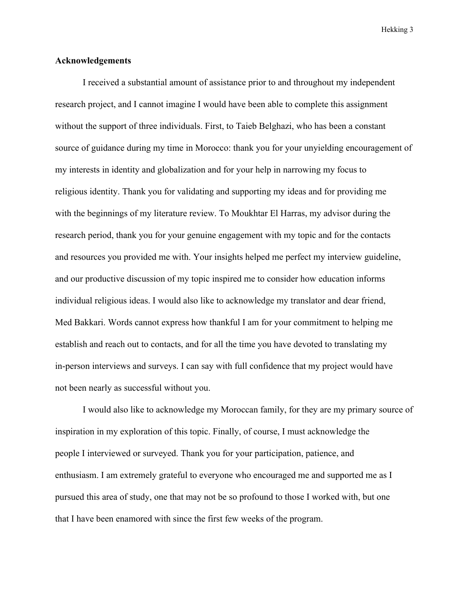#### **Acknowledgements**

I received a substantial amount of assistance prior to and throughout my independent research project, and I cannot imagine I would have been able to complete this assignment without the support of three individuals. First, to Taieb Belghazi, who has been a constant source of guidance during my time in Morocco: thank you for your unyielding encouragement of my interests in identity and globalization and for your help in narrowing my focus to religious identity. Thank you for validating and supporting my ideas and for providing me with the beginnings of my literature review. To Moukhtar El Harras, my advisor during the research period, thank you for your genuine engagement with my topic and for the contacts and resources you provided me with. Your insights helped me perfect my interview guideline, and our productive discussion of my topic inspired me to consider how education informs individual religious ideas. I would also like to acknowledge my translator and dear friend, Med Bakkari. Words cannot express how thankful I am for your commitment to helping me establish and reach out to contacts, and for all the time you have devoted to translating my in-person interviews and surveys. I can say with full confidence that my project would have not been nearly as successful without you.

I would also like to acknowledge my Moroccan family, for they are my primary source of inspiration in my exploration of this topic. Finally, of course, I must acknowledge the people I interviewed or surveyed. Thank you for your participation, patience, and enthusiasm. I am extremely grateful to everyone who encouraged me and supported me as I pursued this area of study, one that may not be so profound to those I worked with, but one that I have been enamored with since the first few weeks of the program.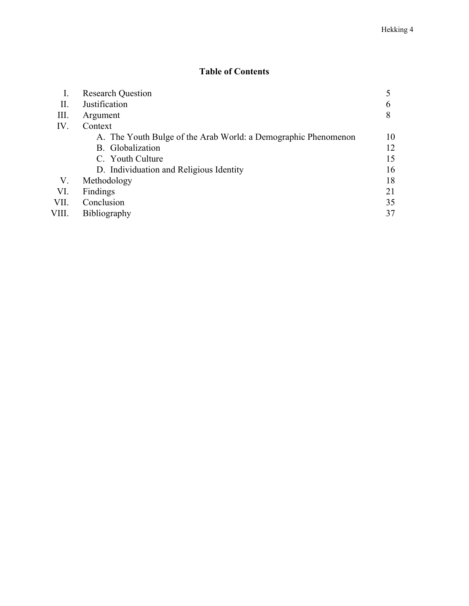# **Table of Contents**

| I.    | <b>Research Question</b>                                       |    |
|-------|----------------------------------------------------------------|----|
| П.    | Justification                                                  | b  |
| Ш.    | Argument                                                       | 8  |
| IV.   | Context                                                        |    |
|       | A. The Youth Bulge of the Arab World: a Demographic Phenomenon | 10 |
|       | B. Globalization                                               | 12 |
|       | C. Youth Culture                                               | 15 |
|       | D. Individuation and Religious Identity                        | 16 |
| V.    | Methodology                                                    | 18 |
| VI.   | Findings                                                       | 21 |
| VII.  | Conclusion                                                     | 35 |
| VIII. | <b>Bibliography</b>                                            | 37 |
|       |                                                                |    |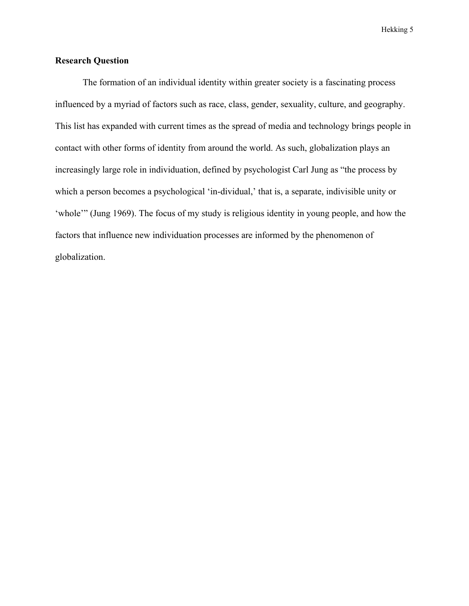## **Research Question**

The formation of an individual identity within greater society is a fascinating process influenced by a myriad of factors such as race, class, gender, sexuality, culture, and geography. This list has expanded with current times as the spread of media and technology brings people in contact with other forms of identity from around the world. As such, globalization plays an increasingly large role in individuation, defined by psychologist Carl Jung as "the process by which a person becomes a psychological 'in-dividual,' that is, a separate, indivisible unity or 'whole'" (Jung 1969). The focus of my study is religious identity in young people, and how the factors that influence new individuation processes are informed by the phenomenon of globalization.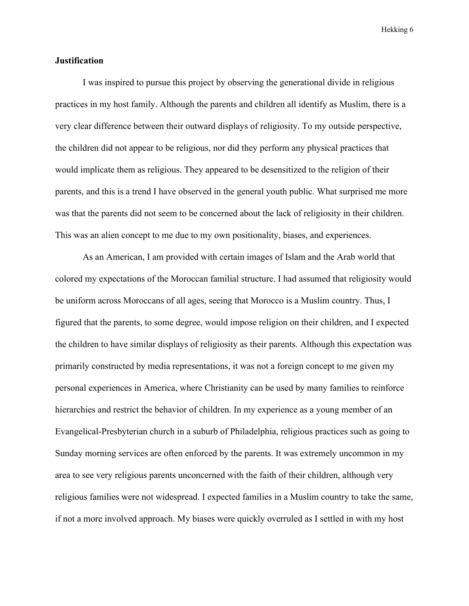#### **Justification**

I was inspired to pursue this project by observing the generational divide in religious practices in my host family. Although the parents and children all identify as Muslim, there is a very clear difference between their outward displays of religiosity. To my outside perspective, the children did not appear to be religious, nor did they perform any physical practices that would implicate them as religious. They appeared to be desensitized to the religion of their parents, and this is a trend I have observed in the general youth public. What surprised me more was that the parents did not seem to be concerned about the lack of religiosity in their children. This was an alien concept to me due to my own positionality, biases, and experiences.

As an American, I am provided with certain images of Islam and the Arab world that colored my expectations of the Moroccan familial structure. I had assumed that religiosity would be uniform across Moroccans of all ages, seeing that Morocco is a Muslim country. Thus, I figured that the parents, to some degree, would impose religion on their children, and I expected the children to have similar displays of religiosity as their parents. Although this expectation was primarily constructed by media representations, it was not a foreign concept to me given my personal experiences in America, where Christianity can be used by many families to reinforce hierarchies and restrict the behavior of children. In my experience as a young member of an Evangelical-Presbyterian church in a suburb of Philadelphia, religious practices such as going to Sunday morning services are often enforced by the parents. It was extremely uncommon in my area to see very religious parents unconcerned with the faith of their children, although very religious families were not widespread. I expected families in a Muslim country to take the same, if not a more involved approach. My biases were quickly overruled as I settled in with my host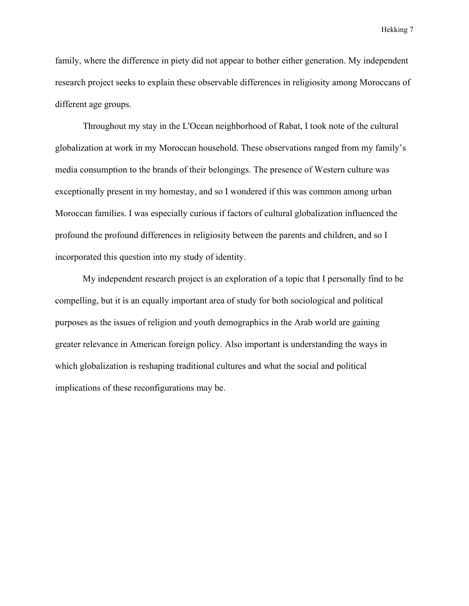family, where the difference in piety did not appear to bother either generation. My independent research project seeks to explain these observable differences in religiosity among Moroccans of different age groups.

Throughout my stay in the L'Ocean neighborhood of Rabat, I took note of the cultural globalization at work in my Moroccan household. These observations ranged from my family's media consumption to the brands of their belongings. The presence of Western culture was exceptionally present in my homestay, and so I wondered if this was common among urban Moroccan families. I was especially curious if factors of cultural globalization influenced the profound the profound differences in religiosity between the parents and children, and so I incorporated this question into my study of identity.

My independent research project is an exploration of a topic that I personally find to be compelling, but it is an equally important area of study for both sociological and political purposes as the issues of religion and youth demographics in the Arab world are gaining greater relevance in American foreign policy. Also important is understanding the ways in which globalization is reshaping traditional cultures and what the social and political implications of these reconfigurations may be.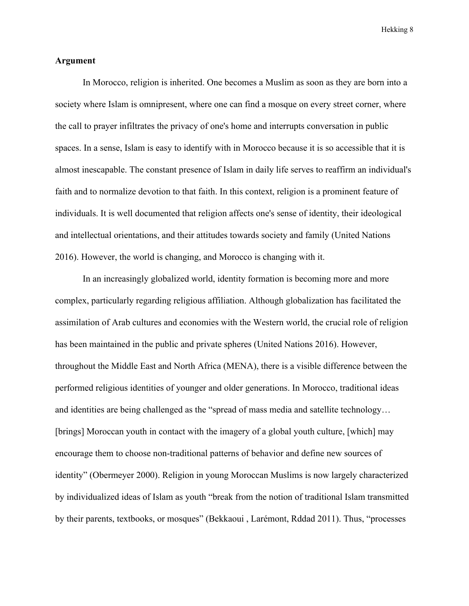#### **Argument**

In Morocco, religion is inherited. One becomes a Muslim as soon as they are born into a society where Islam is omnipresent, where one can find a mosque on every street corner, where the call to prayer infiltrates the privacy of one's home and interrupts conversation in public spaces. In a sense, Islam is easy to identify with in Morocco because it is so accessible that it is almost inescapable. The constant presence of Islam in daily life serves to reaffirm an individual's faith and to normalize devotion to that faith. In this context, religion is a prominent feature of individuals. It is well documented that religion affects one's sense of identity, their ideological and intellectual orientations, and their attitudes towards society and family (United Nations 2016). However, the world is changing, and Morocco is changing with it.

In an increasingly globalized world, identity formation is becoming more and more complex, particularly regarding religious affiliation. Although globalization has facilitated the assimilation of Arab cultures and economies with the Western world, the crucial role of religion has been maintained in the public and private spheres (United Nations 2016). However, throughout the Middle East and North Africa (MENA), there is a visible difference between the performed religious identities of younger and older generations. In Morocco, traditional ideas and identities are being challenged as the "spread of mass media and satellite technology… [brings] Moroccan youth in contact with the imagery of a global youth culture, [which] may encourage them to choose non-traditional patterns of behavior and define new sources of identity" (Obermeyer 2000). Religion in young Moroccan Muslims is now largely characterized by individualized ideas of Islam as youth "break from the notion of traditional Islam transmitted by their parents, textbooks, or mosques" (Bekkaoui , Larémont, Rddad 2011). Thus, "processes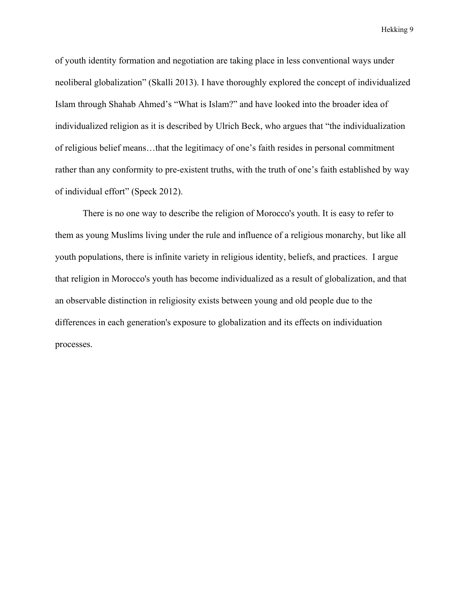of youth identity formation and negotiation are taking place in less conventional ways under neoliberal globalization" (Skalli 2013). I have thoroughly explored the concept of individualized Islam through Shahab Ahmed's "What is Islam?" and have looked into the broader idea of individualized religion as it is described by Ulrich Beck, who argues that "the individualization of religious belief means…that the legitimacy of one's faith resides in personal commitment rather than any conformity to pre-existent truths, with the truth of one's faith established by way of individual effort" (Speck 2012).

There is no one way to describe the religion of Morocco's youth. It is easy to refer to them as young Muslims living under the rule and influence of a religious monarchy, but like all youth populations, there is infinite variety in religious identity, beliefs, and practices. I argue that religion in Morocco's youth has become individualized as a result of globalization, and that an observable distinction in religiosity exists between young and old people due to the differences in each generation's exposure to globalization and its effects on individuation processes.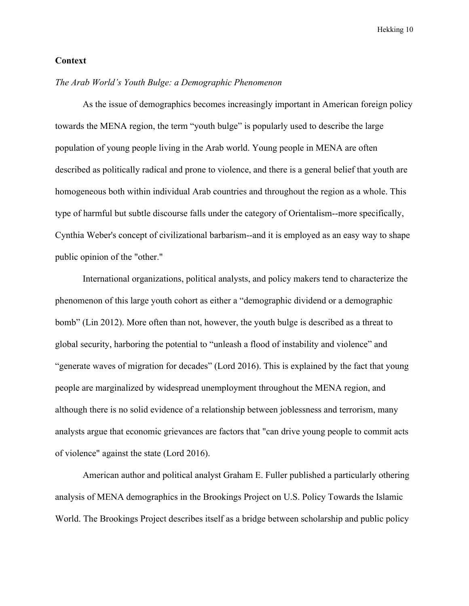#### **Context**

#### *The Arab World's Youth Bulge: a Demographic Phenomenon*

As the issue of demographics becomes increasingly important in American foreign policy towards the MENA region, the term "youth bulge" is popularly used to describe the large population of young people living in the Arab world. Young people in MENA are often described as politically radical and prone to violence, and there is a general belief that youth are homogeneous both within individual Arab countries and throughout the region as a whole. This type of harmful but subtle discourse falls under the category of Orientalism--more specifically, Cynthia Weber's concept of civilizational barbarism--and it is employed as an easy way to shape public opinion of the "other."

International organizations, political analysts, and policy makers tend to characterize the phenomenon of this large youth cohort as either a "demographic dividend or a demographic bomb" (Lin 2012). More often than not, however, the youth bulge is described as a threat to global security, harboring the potential to "unleash a flood of instability and violence" and "generate waves of migration for decades" (Lord 2016). This is explained by the fact that young people are marginalized by widespread unemployment throughout the MENA region, and although there is no solid evidence of a relationship between joblessness and terrorism, many analysts argue that economic grievances are factors that "can drive young people to commit acts of violence" against the state (Lord 2016).

American author and political analyst Graham E. Fuller published a particularly othering analysis of MENA demographics in the Brookings Project on U.S. Policy Towards the Islamic World. The Brookings Project describes itself as a bridge between scholarship and public policy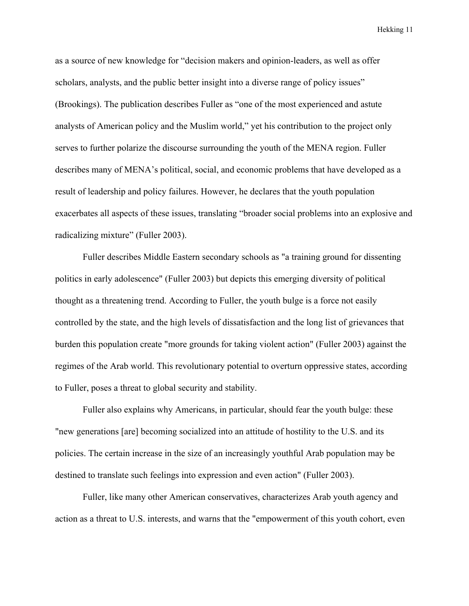as a source of new knowledge for "decision makers and opinion-leaders, as well as offer scholars, analysts, and the public better insight into a diverse range of policy issues" (Brookings). The publication describes Fuller as "one of the most experienced and astute analysts of American policy and the Muslim world," yet his contribution to the project only serves to further polarize the discourse surrounding the youth of the MENA region. Fuller describes many of MENA's political, social, and economic problems that have developed as a result of leadership and policy failures. However, he declares that the youth population exacerbates all aspects of these issues, translating "broader social problems into an explosive and radicalizing mixture" (Fuller 2003).

Fuller describes Middle Eastern secondary schools as "a training ground for dissenting politics in early adolescence" (Fuller 2003) but depicts this emerging diversity of political thought as a threatening trend. According to Fuller, the youth bulge is a force not easily controlled by the state, and the high levels of dissatisfaction and the long list of grievances that burden this population create "more grounds for taking violent action" (Fuller 2003) against the regimes of the Arab world. This revolutionary potential to overturn oppressive states, according to Fuller, poses a threat to global security and stability.

Fuller also explains why Americans, in particular, should fear the youth bulge: these "new generations [are] becoming socialized into an attitude of hostility to the U.S. and its policies. The certain increase in the size of an increasingly youthful Arab population may be destined to translate such feelings into expression and even action" (Fuller 2003).

Fuller, like many other American conservatives, characterizes Arab youth agency and action as a threat to U.S. interests, and warns that the "empowerment of this youth cohort, even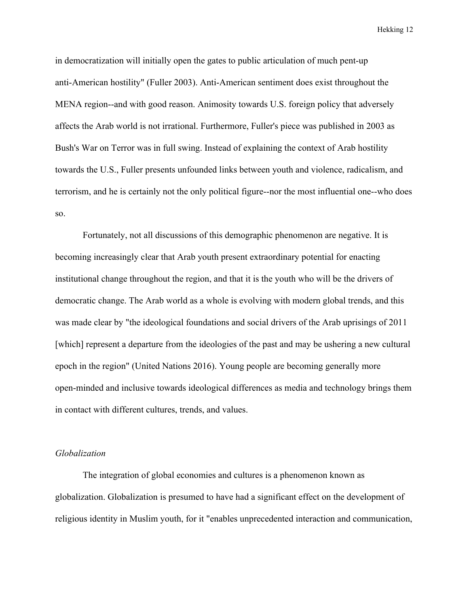in democratization will initially open the gates to public articulation of much pent-up anti-American hostility" (Fuller 2003). Anti-American sentiment does exist throughout the MENA region--and with good reason. Animosity towards U.S. foreign policy that adversely affects the Arab world is not irrational. Furthermore, Fuller's piece was published in 2003 as Bush's War on Terror was in full swing. Instead of explaining the context of Arab hostility towards the U.S., Fuller presents unfounded links between youth and violence, radicalism, and terrorism, and he is certainly not the only political figure--nor the most influential one--who does so.

Fortunately, not all discussions of this demographic phenomenon are negative. It is becoming increasingly clear that Arab youth present extraordinary potential for enacting institutional change throughout the region, and that it is the youth who will be the drivers of democratic change. The Arab world as a whole is evolving with modern global trends, and this was made clear by "the ideological foundations and social drivers of the Arab uprisings of 2011 [which] represent a departure from the ideologies of the past and may be ushering a new cultural epoch in the region" (United Nations 2016). Young people are becoming generally more open-minded and inclusive towards ideological differences as media and technology brings them in contact with different cultures, trends, and values.

#### *Globalization*

The integration of global economies and cultures is a phenomenon known as globalization. Globalization is presumed to have had a significant effect on the development of religious identity in Muslim youth, for it "enables unprecedented interaction and communication,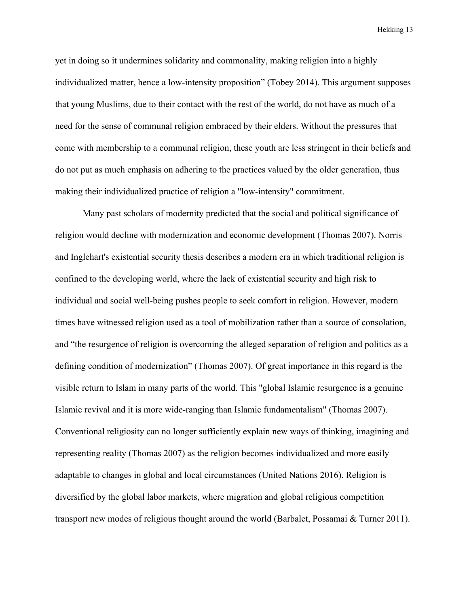yet in doing so it undermines solidarity and commonality, making religion into a highly individualized matter, hence a low-intensity proposition" (Tobey 2014). This argument supposes that young Muslims, due to their contact with the rest of the world, do not have as much of a need for the sense of communal religion embraced by their elders. Without the pressures that come with membership to a communal religion, these youth are less stringent in their beliefs and do not put as much emphasis on adhering to the practices valued by the older generation, thus making their individualized practice of religion a "low-intensity" commitment.

Many past scholars of modernity predicted that the social and political significance of religion would decline with modernization and economic development (Thomas 2007). Norris and Inglehart's existential security thesis describes a modern era in which traditional religion is confined to the developing world, where the lack of existential security and high risk to individual and social well-being pushes people to seek comfort in religion. However, modern times have witnessed religion used as a tool of mobilization rather than a source of consolation, and "the resurgence of religion is overcoming the alleged separation of religion and politics as a defining condition of modernization" (Thomas 2007). Of great importance in this regard is the visible return to Islam in many parts of the world. This "global Islamic resurgence is a genuine Islamic revival and it is more wide-ranging than Islamic fundamentalism" (Thomas 2007). Conventional religiosity can no longer sufficiently explain new ways of thinking, imagining and representing reality (Thomas 2007) as the religion becomes individualized and more easily adaptable to changes in global and local circumstances (United Nations 2016). Religion is diversified by the global labor markets, where migration and global religious competition transport new modes of religious thought around the world (Barbalet, Possamai & Turner 2011).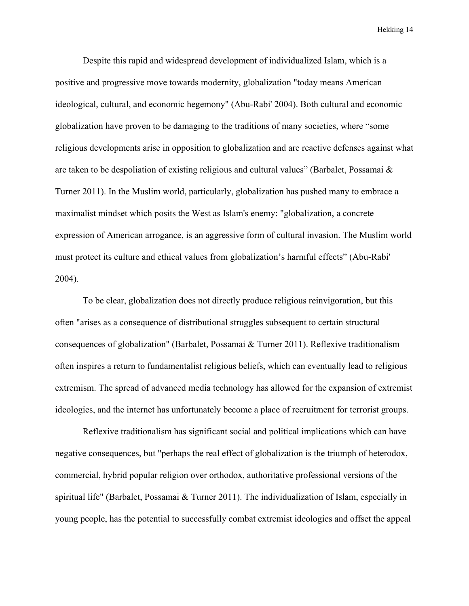Despite this rapid and widespread development of individualized Islam, which is a positive and progressive move towards modernity, globalization "today means American ideological, cultural, and economic hegemony" (Abu-Rabi' 2004). Both cultural and economic globalization have proven to be damaging to the traditions of many societies, where "some religious developments arise in opposition to globalization and are reactive defenses against what are taken to be despoliation of existing religious and cultural values" (Barbalet, Possamai & Turner 2011). In the Muslim world, particularly, globalization has pushed many to embrace a maximalist mindset which posits the West as Islam's enemy: "globalization, a concrete expression of American arrogance, is an aggressive form of cultural invasion. The Muslim world must protect its culture and ethical values from globalization's harmful effects" (Abu-Rabi' 2004).

To be clear, globalization does not directly produce religious reinvigoration, but this often "arises as a consequence of distributional struggles subsequent to certain structural consequences of globalization" (Barbalet, Possamai & Turner 2011). Reflexive traditionalism often inspires a return to fundamentalist religious beliefs, which can eventually lead to religious extremism. The spread of advanced media technology has allowed for the expansion of extremist ideologies, and the internet has unfortunately become a place of recruitment for terrorist groups.

Reflexive traditionalism has significant social and political implications which can have negative consequences, but "perhaps the real effect of globalization is the triumph of heterodox, commercial, hybrid popular religion over orthodox, authoritative professional versions of the spiritual life" (Barbalet, Possamai & Turner 2011). The individualization of Islam, especially in young people, has the potential to successfully combat extremist ideologies and offset the appeal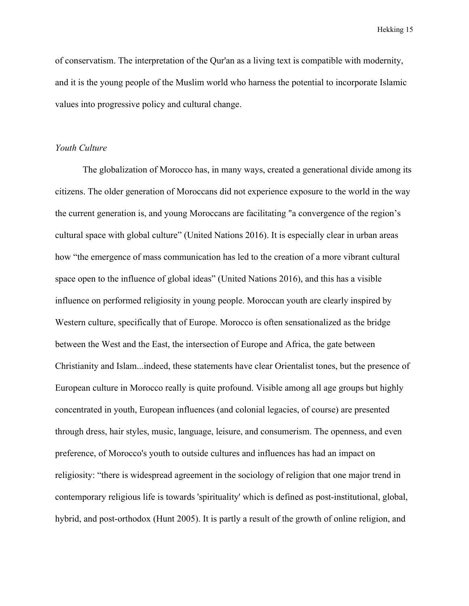of conservatism. The interpretation of the Qur'an as a living text is compatible with modernity, and it is the young people of the Muslim world who harness the potential to incorporate Islamic values into progressive policy and cultural change.

#### *Youth Culture*

The globalization of Morocco has, in many ways, created a generational divide among its citizens. The older generation of Moroccans did not experience exposure to the world in the way the current generation is, and young Moroccans are facilitating "a convergence of the region's cultural space with global culture" (United Nations 2016). It is especially clear in urban areas how "the emergence of mass communication has led to the creation of a more vibrant cultural space open to the influence of global ideas" (United Nations 2016), and this has a visible influence on performed religiosity in young people. Moroccan youth are clearly inspired by Western culture, specifically that of Europe. Morocco is often sensationalized as the bridge between the West and the East, the intersection of Europe and Africa, the gate between Christianity and Islam...indeed, these statements have clear Orientalist tones, but the presence of European culture in Morocco really is quite profound. Visible among all age groups but highly concentrated in youth, European influences (and colonial legacies, of course) are presented through dress, hair styles, music, language, leisure, and consumerism. The openness, and even preference, of Morocco's youth to outside cultures and influences has had an impact on religiosity: "there is widespread agreement in the sociology of religion that one major trend in contemporary religious life is towards 'spirituality' which is defined as post-institutional, global, hybrid, and post-orthodox (Hunt 2005). It is partly a result of the growth of online religion, and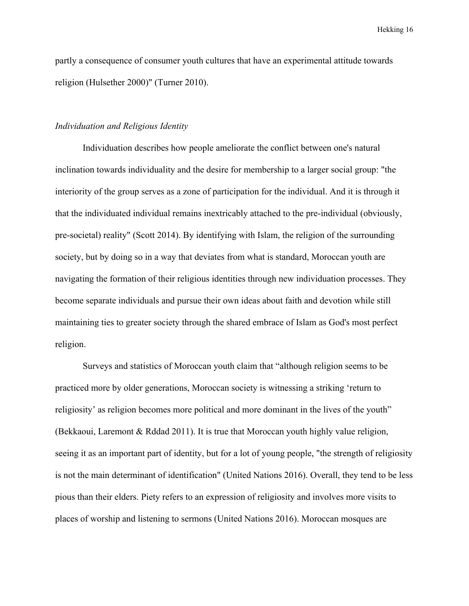partly a consequence of consumer youth cultures that have an experimental attitude towards religion (Hulsether 2000)" (Turner 2010).

#### *Individuation and Religious Identity*

Individuation describes how people ameliorate the conflict between one's natural inclination towards individuality and the desire for membership to a larger social group: "the interiority of the group serves as a zone of participation for the individual. And it is through it that the individuated individual remains inextricably attached to the pre-individual (obviously, pre-societal) reality" (Scott 2014). By identifying with Islam, the religion of the surrounding society, but by doing so in a way that deviates from what is standard, Moroccan youth are navigating the formation of their religious identities through new individuation processes. They become separate individuals and pursue their own ideas about faith and devotion while still maintaining ties to greater society through the shared embrace of Islam as God's most perfect religion.

Surveys and statistics of Moroccan youth claim that "although religion seems to be practiced more by older generations, Moroccan society is witnessing a striking 'return to religiosity' as religion becomes more political and more dominant in the lives of the youth" (Bekkaoui, Laremont & Rddad 2011). It is true that Moroccan youth highly value religion, seeing it as an important part of identity, but for a lot of young people, "the strength of religiosity is not the main determinant of identification" (United Nations 2016). Overall, they tend to be less pious than their elders. Piety refers to an expression of religiosity and involves more visits to places of worship and listening to sermons (United Nations 2016). Moroccan mosques are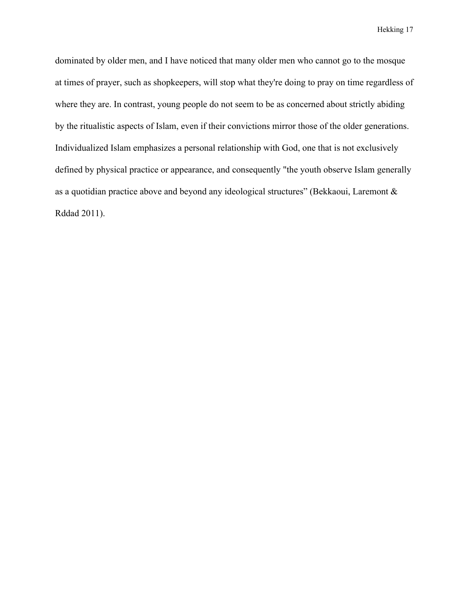dominated by older men, and I have noticed that many older men who cannot go to the mosque at times of prayer, such as shopkeepers, will stop what they're doing to pray on time regardless of where they are. In contrast, young people do not seem to be as concerned about strictly abiding by the ritualistic aspects of Islam, even if their convictions mirror those of the older generations. Individualized Islam emphasizes a personal relationship with God, one that is not exclusively defined by physical practice or appearance, and consequently "the youth observe Islam generally as a quotidian practice above and beyond any ideological structures" (Bekkaoui, Laremont & Rddad 2011).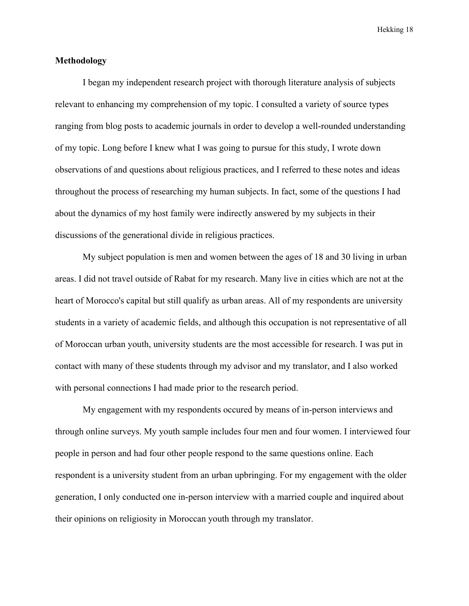#### **Methodology**

I began my independent research project with thorough literature analysis of subjects relevant to enhancing my comprehension of my topic. I consulted a variety of source types ranging from blog posts to academic journals in order to develop a well-rounded understanding of my topic. Long before I knew what I was going to pursue for this study, I wrote down observations of and questions about religious practices, and I referred to these notes and ideas throughout the process of researching my human subjects. In fact, some of the questions I had about the dynamics of my host family were indirectly answered by my subjects in their discussions of the generational divide in religious practices.

My subject population is men and women between the ages of 18 and 30 living in urban areas. I did not travel outside of Rabat for my research. Many live in cities which are not at the heart of Morocco's capital but still qualify as urban areas. All of my respondents are university students in a variety of academic fields, and although this occupation is not representative of all of Moroccan urban youth, university students are the most accessible for research. I was put in contact with many of these students through my advisor and my translator, and I also worked with personal connections I had made prior to the research period.

My engagement with my respondents occured by means of in-person interviews and through online surveys. My youth sample includes four men and four women. I interviewed four people in person and had four other people respond to the same questions online. Each respondent is a university student from an urban upbringing. For my engagement with the older generation, I only conducted one in-person interview with a married couple and inquired about their opinions on religiosity in Moroccan youth through my translator.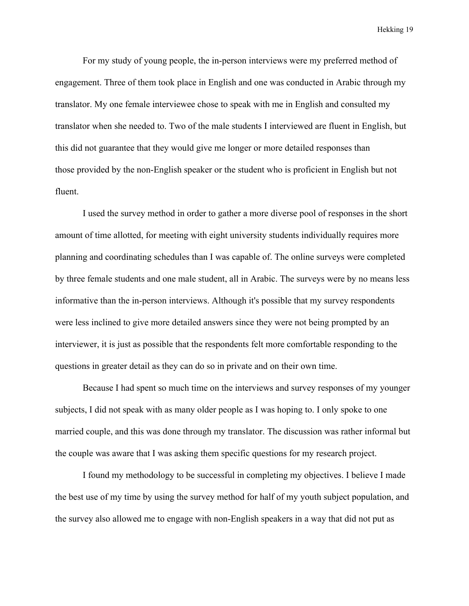For my study of young people, the in-person interviews were my preferred method of engagement. Three of them took place in English and one was conducted in Arabic through my translator. My one female interviewee chose to speak with me in English and consulted my translator when she needed to. Two of the male students I interviewed are fluent in English, but this did not guarantee that they would give me longer or more detailed responses than those provided by the non-English speaker or the student who is proficient in English but not fluent.

I used the survey method in order to gather a more diverse pool of responses in the short amount of time allotted, for meeting with eight university students individually requires more planning and coordinating schedules than I was capable of. The online surveys were completed by three female students and one male student, all in Arabic. The surveys were by no means less informative than the in-person interviews. Although it's possible that my survey respondents were less inclined to give more detailed answers since they were not being prompted by an interviewer, it is just as possible that the respondents felt more comfortable responding to the questions in greater detail as they can do so in private and on their own time.

Because I had spent so much time on the interviews and survey responses of my younger subjects, I did not speak with as many older people as I was hoping to. I only spoke to one married couple, and this was done through my translator. The discussion was rather informal but the couple was aware that I was asking them specific questions for my research project.

I found my methodology to be successful in completing my objectives. I believe I made the best use of my time by using the survey method for half of my youth subject population, and the survey also allowed me to engage with non-English speakers in a way that did not put as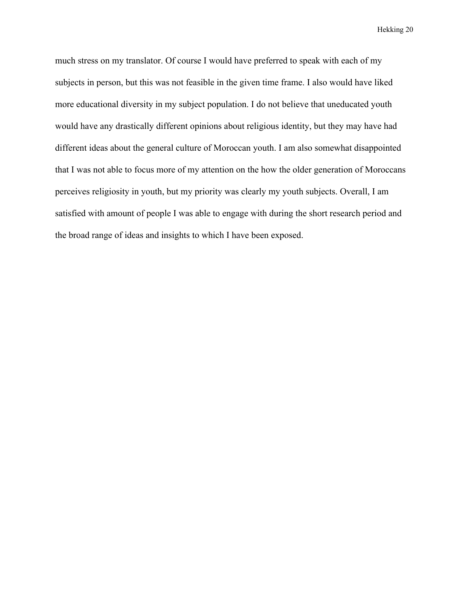much stress on my translator. Of course I would have preferred to speak with each of my subjects in person, but this was not feasible in the given time frame. I also would have liked more educational diversity in my subject population. I do not believe that uneducated youth would have any drastically different opinions about religious identity, but they may have had different ideas about the general culture of Moroccan youth. I am also somewhat disappointed that I was not able to focus more of my attention on the how the older generation of Moroccans perceives religiosity in youth, but my priority was clearly my youth subjects. Overall, I am satisfied with amount of people I was able to engage with during the short research period and the broad range of ideas and insights to which I have been exposed.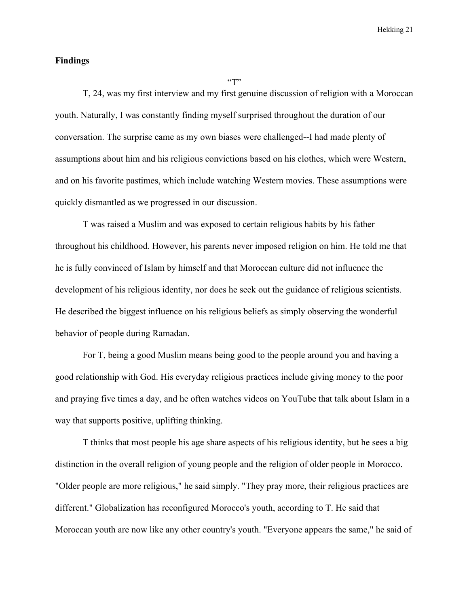#### **Findings**

 $\lq\lq\lq\lq\lq\lq\lq\lq\lq\lq$ 

T, 24, was my first interview and my first genuine discussion of religion with a Moroccan youth. Naturally, I was constantly finding myself surprised throughout the duration of our conversation. The surprise came as my own biases were challenged--I had made plenty of assumptions about him and his religious convictions based on his clothes, which were Western, and on his favorite pastimes, which include watching Western movies. These assumptions were quickly dismantled as we progressed in our discussion.

T was raised a Muslim and was exposed to certain religious habits by his father throughout his childhood. However, his parents never imposed religion on him. He told me that he is fully convinced of Islam by himself and that Moroccan culture did not influence the development of his religious identity, nor does he seek out the guidance of religious scientists. He described the biggest influence on his religious beliefs as simply observing the wonderful behavior of people during Ramadan.

For T, being a good Muslim means being good to the people around you and having a good relationship with God. His everyday religious practices include giving money to the poor and praying five times a day, and he often watches videos on YouTube that talk about Islam in a way that supports positive, uplifting thinking.

T thinks that most people his age share aspects of his religious identity, but he sees a big distinction in the overall religion of young people and the religion of older people in Morocco. "Older people are more religious," he said simply. "They pray more, their religious practices are different." Globalization has reconfigured Morocco's youth, according to T. He said that Moroccan youth are now like any other country's youth. "Everyone appears the same," he said of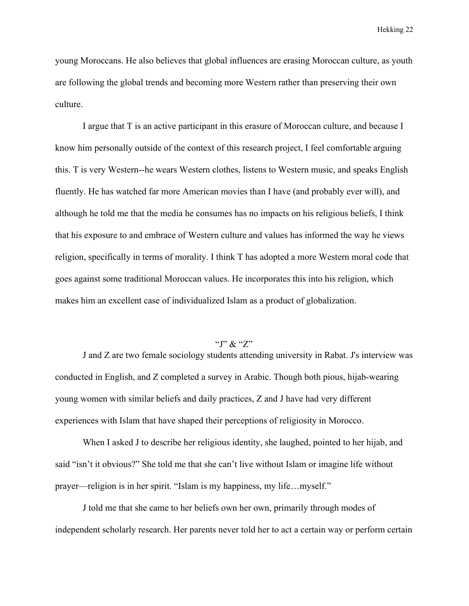young Moroccans. He also believes that global influences are erasing Moroccan culture, as youth are following the global trends and becoming more Western rather than preserving their own culture.

I argue that T is an active participant in this erasure of Moroccan culture, and because I know him personally outside of the context of this research project, I feel comfortable arguing this. T is very Western--he wears Western clothes, listens to Western music, and speaks English fluently. He has watched far more American movies than I have (and probably ever will), and although he told me that the media he consumes has no impacts on his religious beliefs, I think that his exposure to and embrace of Western culture and values has informed the way he views religion, specifically in terms of morality. I think T has adopted a more Western moral code that goes against some traditional Moroccan values. He incorporates this into his religion, which makes him an excellent case of individualized Islam as a product of globalization.

### " $\gamma$ " $\chi$ " $Z$ "

J and Z are two female sociology students attending university in Rabat. J's interview was conducted in English, and Z completed a survey in Arabic. Though both pious, hijab-wearing young women with similar beliefs and daily practices, Z and J have had very different experiences with Islam that have shaped their perceptions of religiosity in Morocco.

When I asked J to describe her religious identity, she laughed, pointed to her hijab, and said "isn't it obvious?" She told me that she can't live without Islam or imagine life without prayer—religion is in her spirit. "Islam is my happiness, my life…myself."

J told me that she came to her beliefs own her own, primarily through modes of independent scholarly research. Her parents never told her to act a certain way or perform certain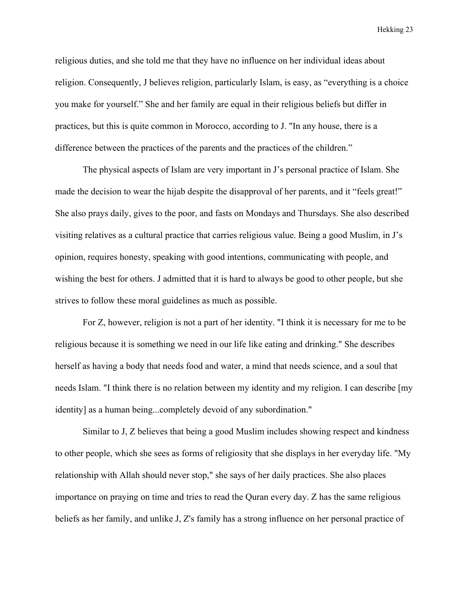religious duties, and she told me that they have no influence on her individual ideas about religion. Consequently, J believes religion, particularly Islam, is easy, as "everything is a choice you make for yourself." She and her family are equal in their religious beliefs but differ in practices, but this is quite common in Morocco, according to J. "In any house, there is a difference between the practices of the parents and the practices of the children."

The physical aspects of Islam are very important in J's personal practice of Islam. She made the decision to wear the hijab despite the disapproval of her parents, and it "feels great!" She also prays daily, gives to the poor, and fasts on Mondays and Thursdays. She also described visiting relatives as a cultural practice that carries religious value. Being a good Muslim, in J's opinion, requires honesty, speaking with good intentions, communicating with people, and wishing the best for others. J admitted that it is hard to always be good to other people, but she strives to follow these moral guidelines as much as possible.

For Z, however, religion is not a part of her identity. "I think it is necessary for me to be religious because it is something we need in our life like eating and drinking." She describes herself as having a body that needs food and water, a mind that needs science, and a soul that needs Islam. "I think there is no relation between my identity and my religion. I can describe [my identity] as a human being...completely devoid of any subordination."

Similar to J, Z believes that being a good Muslim includes showing respect and kindness to other people, which she sees as forms of religiosity that she displays in her everyday life. "My relationship with Allah should never stop," she says of her daily practices. She also places importance on praying on time and tries to read the Quran every day. Z has the same religious beliefs as her family, and unlike J, Z's family has a strong influence on her personal practice of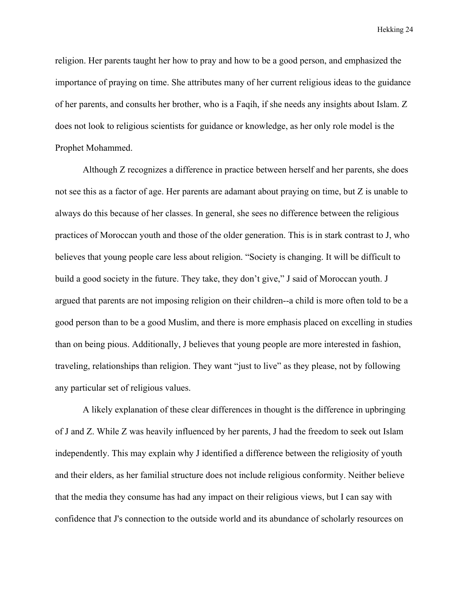religion. Her parents taught her how to pray and how to be a good person, and emphasized the importance of praying on time. She attributes many of her current religious ideas to the guidance of her parents, and consults her brother, who is a Faqih, if she needs any insights about Islam. Z does not look to religious scientists for guidance or knowledge, as her only role model is the Prophet Mohammed.

Although Z recognizes a difference in practice between herself and her parents, she does not see this as a factor of age. Her parents are adamant about praying on time, but Z is unable to always do this because of her classes. In general, she sees no difference between the religious practices of Moroccan youth and those of the older generation. This is in stark contrast to J, who believes that young people care less about religion. "Society is changing. It will be difficult to build a good society in the future. They take, they don't give," J said of Moroccan youth. J argued that parents are not imposing religion on their children--a child is more often told to be a good person than to be a good Muslim, and there is more emphasis placed on excelling in studies than on being pious. Additionally, J believes that young people are more interested in fashion, traveling, relationships than religion. They want "just to live" as they please, not by following any particular set of religious values.

A likely explanation of these clear differences in thought is the difference in upbringing of J and Z. While Z was heavily influenced by her parents, J had the freedom to seek out Islam independently. This may explain why J identified a difference between the religiosity of youth and their elders, as her familial structure does not include religious conformity. Neither believe that the media they consume has had any impact on their religious views, but I can say with confidence that J's connection to the outside world and its abundance of scholarly resources on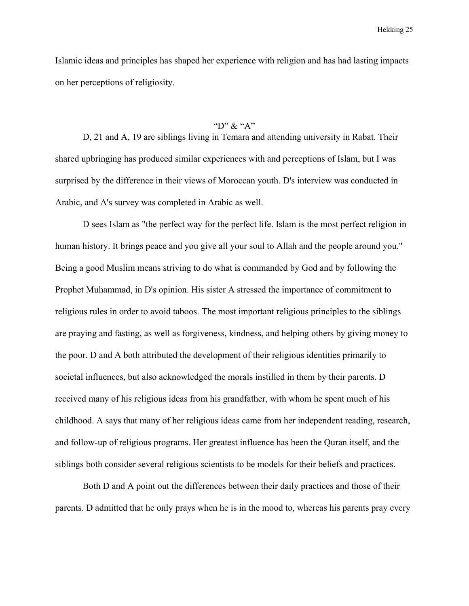Islamic ideas and principles has shaped her experience with religion and has had lasting impacts on her perceptions of religiosity.

## "D"  $\&$  "A"

D, 21 and A, 19 are siblings living in Temara and attending university in Rabat. Their shared upbringing has produced similar experiences with and perceptions of Islam, but I was surprised by the difference in their views of Moroccan youth. D's interview was conducted in Arabic, and A's survey was completed in Arabic as well.

D sees Islam as "the perfect way for the perfect life. Islam is the most perfect religion in human history. It brings peace and you give all your soul to Allah and the people around you." Being a good Muslim means striving to do what is commanded by God and by following the Prophet Muhammad, in D's opinion. His sister A stressed the importance of commitment to religious rules in order to avoid taboos. The most important religious principles to the siblings are praying and fasting, as well as forgiveness, kindness, and helping others by giving money to the poor. D and A both attributed the development of their religious identities primarily to societal influences, but also acknowledged the morals instilled in them by their parents. D received many of his religious ideas from his grandfather, with whom he spent much of his childhood. A says that many of her religious ideas came from her independent reading, research, and follow-up of religious programs. Her greatest influence has been the Quran itself, and the siblings both consider several religious scientists to be models for their beliefs and practices.

Both D and A point out the differences between their daily practices and those of their parents. D admitted that he only prays when he is in the mood to, whereas his parents pray every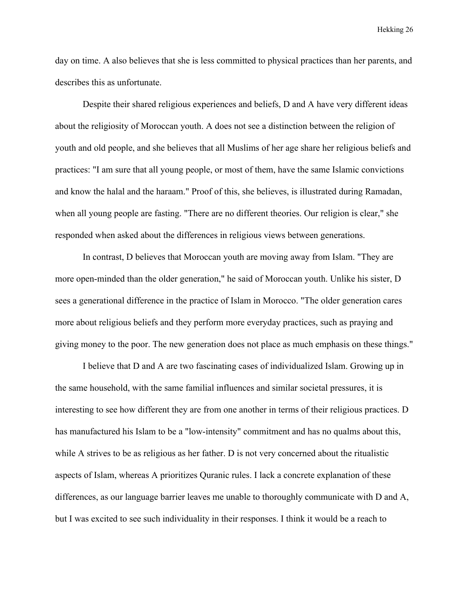day on time. A also believes that she is less committed to physical practices than her parents, and describes this as unfortunate.

Despite their shared religious experiences and beliefs, D and A have very different ideas about the religiosity of Moroccan youth. A does not see a distinction between the religion of youth and old people, and she believes that all Muslims of her age share her religious beliefs and practices: "I am sure that all young people, or most of them, have the same Islamic convictions and know the halal and the haraam." Proof of this, she believes, is illustrated during Ramadan, when all young people are fasting. "There are no different theories. Our religion is clear," she responded when asked about the differences in religious views between generations.

In contrast, D believes that Moroccan youth are moving away from Islam. "They are more open-minded than the older generation," he said of Moroccan youth. Unlike his sister, D sees a generational difference in the practice of Islam in Morocco. "The older generation cares more about religious beliefs and they perform more everyday practices, such as praying and giving money to the poor. The new generation does not place as much emphasis on these things."

I believe that D and A are two fascinating cases of individualized Islam. Growing up in the same household, with the same familial influences and similar societal pressures, it is interesting to see how different they are from one another in terms of their religious practices. D has manufactured his Islam to be a "low-intensity" commitment and has no qualms about this, while A strives to be as religious as her father. D is not very concerned about the ritualistic aspects of Islam, whereas A prioritizes Quranic rules. I lack a concrete explanation of these differences, as our language barrier leaves me unable to thoroughly communicate with D and A, but I was excited to see such individuality in their responses. I think it would be a reach to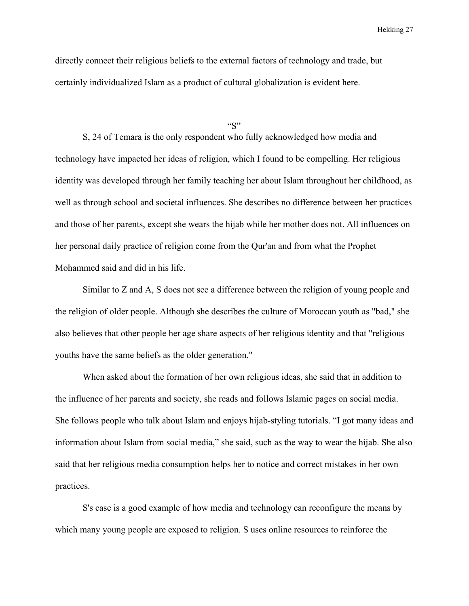directly connect their religious beliefs to the external factors of technology and trade, but certainly individualized Islam as a product of cultural globalization is evident here.

#### $``S"$

S, 24 of Temara is the only respondent who fully acknowledged how media and technology have impacted her ideas of religion, which I found to be compelling. Her religious identity was developed through her family teaching her about Islam throughout her childhood, as well as through school and societal influences. She describes no difference between her practices and those of her parents, except she wears the hijab while her mother does not. All influences on her personal daily practice of religion come from the Qur'an and from what the Prophet Mohammed said and did in his life.

Similar to Z and A, S does not see a difference between the religion of young people and the religion of older people. Although she describes the culture of Moroccan youth as "bad," she also believes that other people her age share aspects of her religious identity and that "religious youths have the same beliefs as the older generation."

When asked about the formation of her own religious ideas, she said that in addition to the influence of her parents and society, she reads and follows Islamic pages on social media. She follows people who talk about Islam and enjoys hijab-styling tutorials. "I got many ideas and information about Islam from social media," she said, such as the way to wear the hijab. She also said that her religious media consumption helps her to notice and correct mistakes in her own practices.

S's case is a good example of how media and technology can reconfigure the means by which many young people are exposed to religion. S uses online resources to reinforce the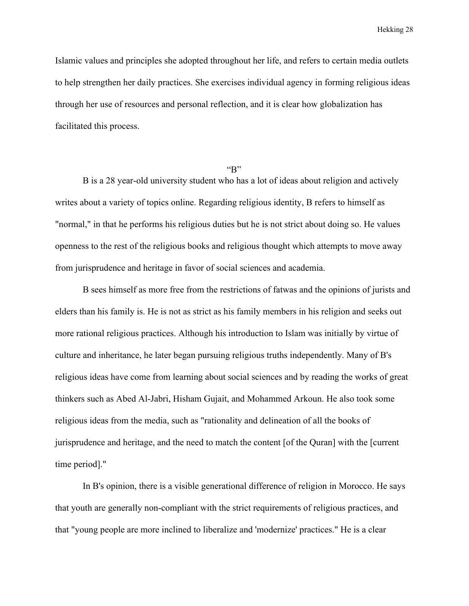Islamic values and principles she adopted throughout her life, and refers to certain media outlets to help strengthen her daily practices. She exercises individual agency in forming religious ideas through her use of resources and personal reflection, and it is clear how globalization has facilitated this process.

#### $~\rm{``B''}$

B is a 28 year-old university student who has a lot of ideas about religion and actively writes about a variety of topics online. Regarding religious identity, B refers to himself as "normal," in that he performs his religious duties but he is not strict about doing so. He values openness to the rest of the religious books and religious thought which attempts to move away from jurisprudence and heritage in favor of social sciences and academia.

B sees himself as more free from the restrictions of fatwas and the opinions of jurists and elders than his family is. He is not as strict as his family members in his religion and seeks out more rational religious practices. Although his introduction to Islam was initially by virtue of culture and inheritance, he later began pursuing religious truths independently. Many of B's religious ideas have come from learning about social sciences and by reading the works of great thinkers such as Abed Al-Jabri, Hisham Gujait, and Mohammed Arkoun. He also took some religious ideas from the media, such as "rationality and delineation of all the books of jurisprudence and heritage, and the need to match the content [of the Quran] with the [current time period]."

In B's opinion, there is a visible generational difference of religion in Morocco. He says that youth are generally non-compliant with the strict requirements of religious practices, and that "young people are more inclined to liberalize and 'modernize' practices." He is a clear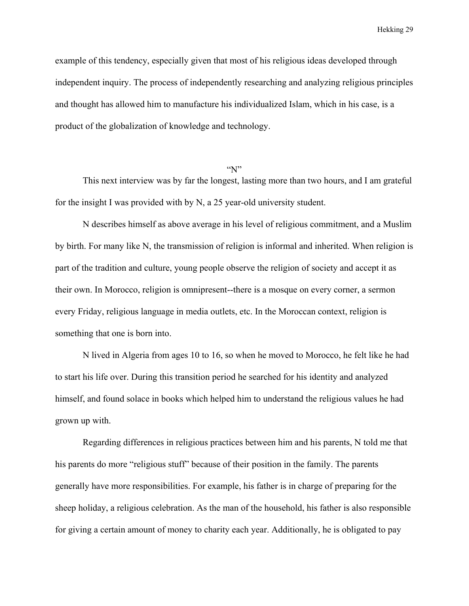example of this tendency, especially given that most of his religious ideas developed through independent inquiry. The process of independently researching and analyzing religious principles and thought has allowed him to manufacture his individualized Islam, which in his case, is a product of the globalization of knowledge and technology.

#### $\lq N$ "

This next interview was by far the longest, lasting more than two hours, and I am grateful for the insight I was provided with by N, a 25 year-old university student.

N describes himself as above average in his level of religious commitment, and a Muslim by birth. For many like N, the transmission of religion is informal and inherited. When religion is part of the tradition and culture, young people observe the religion of society and accept it as their own. In Morocco, religion is omnipresent--there is a mosque on every corner, a sermon every Friday, religious language in media outlets, etc. In the Moroccan context, religion is something that one is born into.

N lived in Algeria from ages 10 to 16, so when he moved to Morocco, he felt like he had to start his life over. During this transition period he searched for his identity and analyzed himself, and found solace in books which helped him to understand the religious values he had grown up with.

Regarding differences in religious practices between him and his parents, N told me that his parents do more "religious stuff" because of their position in the family. The parents generally have more responsibilities. For example, his father is in charge of preparing for the sheep holiday, a religious celebration. As the man of the household, his father is also responsible for giving a certain amount of money to charity each year. Additionally, he is obligated to pay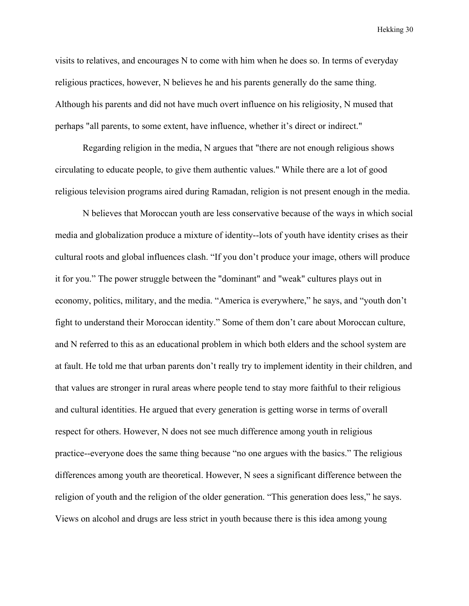visits to relatives, and encourages N to come with him when he does so. In terms of everyday religious practices, however, N believes he and his parents generally do the same thing. Although his parents and did not have much overt influence on his religiosity, N mused that perhaps "all parents, to some extent, have influence, whether it's direct or indirect."

Regarding religion in the media, N argues that "there are not enough religious shows circulating to educate people, to give them authentic values." While there are a lot of good religious television programs aired during Ramadan, religion is not present enough in the media.

N believes that Moroccan youth are less conservative because of the ways in which social media and globalization produce a mixture of identity--lots of youth have identity crises as their cultural roots and global influences clash. "If you don't produce your image, others will produce it for you." The power struggle between the "dominant" and "weak" cultures plays out in economy, politics, military, and the media. "America is everywhere," he says, and "youth don't fight to understand their Moroccan identity." Some of them don't care about Moroccan culture, and N referred to this as an educational problem in which both elders and the school system are at fault. He told me that urban parents don't really try to implement identity in their children, and that values are stronger in rural areas where people tend to stay more faithful to their religious and cultural identities. He argued that every generation is getting worse in terms of overall respect for others. However, N does not see much difference among youth in religious practice--everyone does the same thing because "no one argues with the basics." The religious differences among youth are theoretical. However, N sees a significant difference between the religion of youth and the religion of the older generation. "This generation does less," he says. Views on alcohol and drugs are less strict in youth because there is this idea among young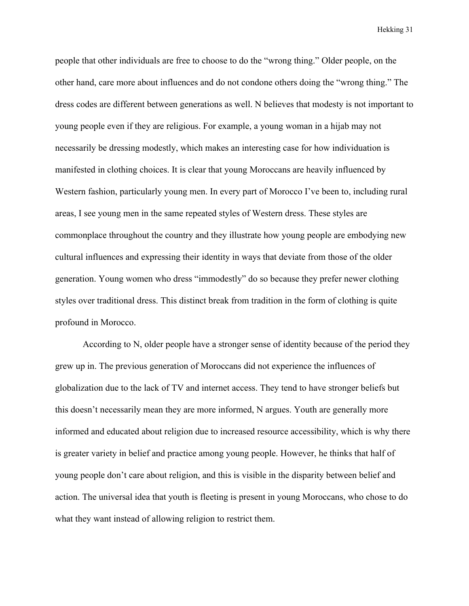people that other individuals are free to choose to do the "wrong thing." Older people, on the other hand, care more about influences and do not condone others doing the "wrong thing." The dress codes are different between generations as well. N believes that modesty is not important to young people even if they are religious. For example, a young woman in a hijab may not necessarily be dressing modestly, which makes an interesting case for how individuation is manifested in clothing choices. It is clear that young Moroccans are heavily influenced by Western fashion, particularly young men. In every part of Morocco I've been to, including rural areas, I see young men in the same repeated styles of Western dress. These styles are commonplace throughout the country and they illustrate how young people are embodying new cultural influences and expressing their identity in ways that deviate from those of the older generation. Young women who dress "immodestly" do so because they prefer newer clothing styles over traditional dress. This distinct break from tradition in the form of clothing is quite profound in Morocco.

According to N, older people have a stronger sense of identity because of the period they grew up in. The previous generation of Moroccans did not experience the influences of globalization due to the lack of TV and internet access. They tend to have stronger beliefs but this doesn't necessarily mean they are more informed, N argues. Youth are generally more informed and educated about religion due to increased resource accessibility, which is why there is greater variety in belief and practice among young people. However, he thinks that half of young people don't care about religion, and this is visible in the disparity between belief and action. The universal idea that youth is fleeting is present in young Moroccans, who chose to do what they want instead of allowing religion to restrict them.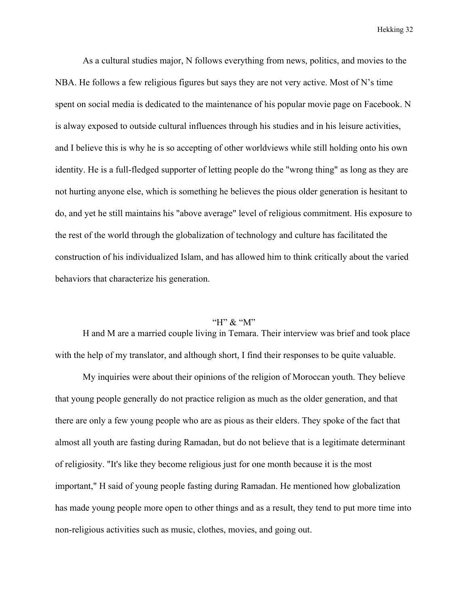As a cultural studies major, N follows everything from news, politics, and movies to the NBA. He follows a few religious figures but says they are not very active. Most of N's time spent on social media is dedicated to the maintenance of his popular movie page on Facebook. N is alway exposed to outside cultural influences through his studies and in his leisure activities, and I believe this is why he is so accepting of other worldviews while still holding onto his own identity. He is a full-fledged supporter of letting people do the "wrong thing" as long as they are not hurting anyone else, which is something he believes the pious older generation is hesitant to do, and yet he still maintains his "above average" level of religious commitment. His exposure to the rest of the world through the globalization of technology and culture has facilitated the construction of his individualized Islam, and has allowed him to think critically about the varied behaviors that characterize his generation.

#### "H"  $\&$  "M"

H and M are a married couple living in Temara. Their interview was brief and took place with the help of my translator, and although short, I find their responses to be quite valuable.

My inquiries were about their opinions of the religion of Moroccan youth. They believe that young people generally do not practice religion as much as the older generation, and that there are only a few young people who are as pious as their elders. They spoke of the fact that almost all youth are fasting during Ramadan, but do not believe that is a legitimate determinant of religiosity. "It's like they become religious just for one month because it is the most important," H said of young people fasting during Ramadan. He mentioned how globalization has made young people more open to other things and as a result, they tend to put more time into non-religious activities such as music, clothes, movies, and going out.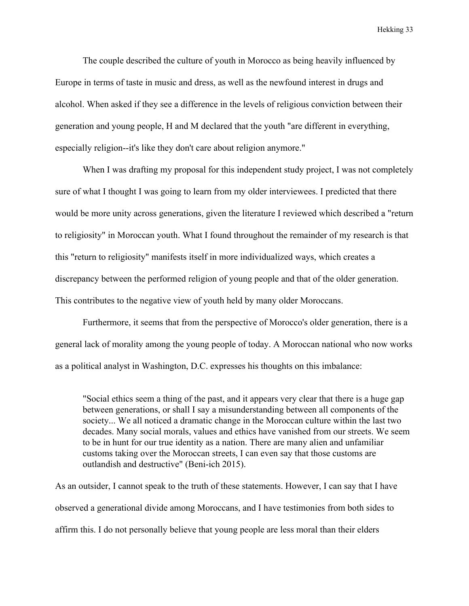The couple described the culture of youth in Morocco as being heavily influenced by Europe in terms of taste in music and dress, as well as the newfound interest in drugs and alcohol. When asked if they see a difference in the levels of religious conviction between their generation and young people, H and M declared that the youth "are different in everything, especially religion--it's like they don't care about religion anymore."

When I was drafting my proposal for this independent study project, I was not completely sure of what I thought I was going to learn from my older interviewees. I predicted that there would be more unity across generations, given the literature I reviewed which described a "return to religiosity" in Moroccan youth. What I found throughout the remainder of my research is that this "return to religiosity" manifests itself in more individualized ways, which creates a discrepancy between the performed religion of young people and that of the older generation. This contributes to the negative view of youth held by many older Moroccans.

Furthermore, it seems that from the perspective of Morocco's older generation, there is a general lack of morality among the young people of today. A Moroccan national who now works as a political analyst in Washington, D.C. expresses his thoughts on this imbalance:

"Social ethics seem a thing of the past, and it appears very clear that there is a huge gap between generations, or shall I say a misunderstanding between all components of the society... We all noticed a dramatic change in the Moroccan culture within the last two decades. Many social morals, values and ethics have vanished from our streets. We seem to be in hunt for our true identity as a nation. There are many alien and unfamiliar customs taking over the Moroccan streets, I can even say that those customs are outlandish and destructive" (Beni-ich 2015).

As an outsider, I cannot speak to the truth of these statements. However, I can say that I have observed a generational divide among Moroccans, and I have testimonies from both sides to affirm this. I do not personally believe that young people are less moral than their elders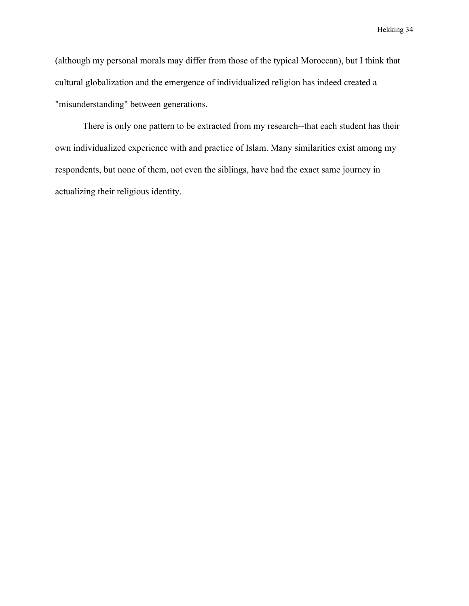(although my personal morals may differ from those of the typical Moroccan), but I think that cultural globalization and the emergence of individualized religion has indeed created a "misunderstanding" between generations.

There is only one pattern to be extracted from my research--that each student has their own individualized experience with and practice of Islam. Many similarities exist among my respondents, but none of them, not even the siblings, have had the exact same journey in actualizing their religious identity.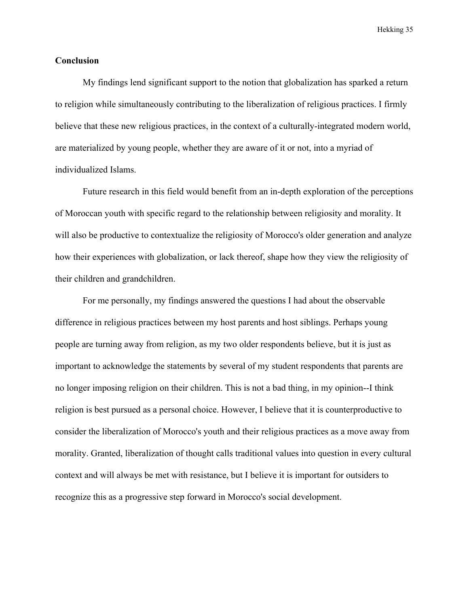#### **Conclusion**

My findings lend significant support to the notion that globalization has sparked a return to religion while simultaneously contributing to the liberalization of religious practices. I firmly believe that these new religious practices, in the context of a culturally-integrated modern world, are materialized by young people, whether they are aware of it or not, into a myriad of individualized Islams.

Future research in this field would benefit from an in-depth exploration of the perceptions of Moroccan youth with specific regard to the relationship between religiosity and morality. It will also be productive to contextualize the religiosity of Morocco's older generation and analyze how their experiences with globalization, or lack thereof, shape how they view the religiosity of their children and grandchildren.

For me personally, my findings answered the questions I had about the observable difference in religious practices between my host parents and host siblings. Perhaps young people are turning away from religion, as my two older respondents believe, but it is just as important to acknowledge the statements by several of my student respondents that parents are no longer imposing religion on their children. This is not a bad thing, in my opinion--I think religion is best pursued as a personal choice. However, I believe that it is counterproductive to consider the liberalization of Morocco's youth and their religious practices as a move away from morality. Granted, liberalization of thought calls traditional values into question in every cultural context and will always be met with resistance, but I believe it is important for outsiders to recognize this as a progressive step forward in Morocco's social development.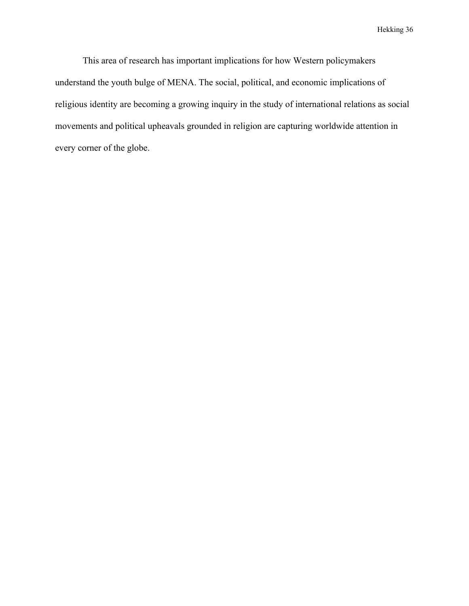This area of research has important implications for how Western policymakers understand the youth bulge of MENA. The social, political, and economic implications of religious identity are becoming a growing inquiry in the study of international relations as social movements and political upheavals grounded in religion are capturing worldwide attention in every corner of the globe.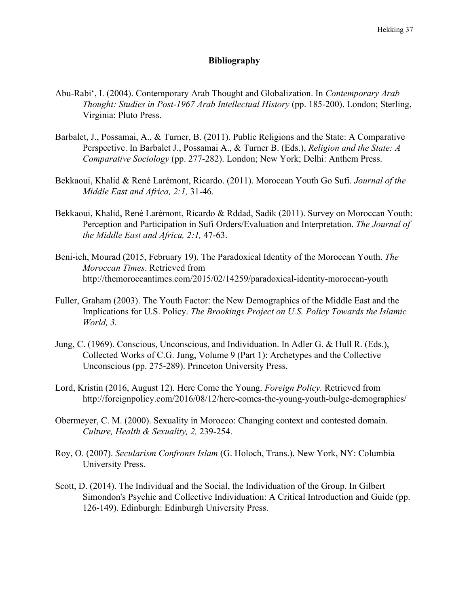## **Bibliography**

- Abu-Rabi', I. (2004). Contemporary Arab Thought and Globalization. In *Contemporary Arab Thought: Studies in Post-1967 Arab Intellectual History* (pp. 185-200). London; Sterling, Virginia: Pluto Press.
- Barbalet, J., Possamai, A., & Turner, B. (2011). Public Religions and the State: A Comparative Perspective. In Barbalet J., Possamai A., & Turner B. (Eds.), *Religion and the State: A Comparative Sociology* (pp. 277-282). London; New York; Delhi: Anthem Press.
- Bekkaoui, Khalid & René Larémont, Ricardo. (2011). Moroccan Youth Go Sufi. *Journal of the Middle East and Africa, 2:1,* 31-46.
- Bekkaoui, Khalid, René Larémont, Ricardo & Rddad, Sadik (2011). Survey on Moroccan Youth: Perception and Participation in Sufi Orders/Evaluation and Interpretation. *The Journal of the Middle East and Africa, 2:1,* 47-63.
- Beni-ich, Mourad (2015, February 19). The Paradoxical Identity of the Moroccan Youth. *The Moroccan Times*. Retrieved from http://themoroccantimes.com/2015/02/14259/paradoxical-identity-moroccan-youth
- Fuller, Graham (2003). The Youth Factor: the New Demographics of the Middle East and the Implications for U.S. Policy. *The Brookings Project on U.S. Policy Towards the Islamic World, 3.*
- Jung, C. (1969). Conscious, Unconscious, and Individuation. In Adler G. & Hull R. (Eds.), Collected Works of C.G. Jung, Volume 9 (Part 1): Archetypes and the Collective Unconscious (pp. 275-289). Princeton University Press.
- Lord, Kristin (2016, August 12). Here Come the Young. *Foreign Policy.* Retrieved from http://foreignpolicy.com/2016/08/12/here-comes-the-young-youth-bulge-demographics/
- Obermeyer, C. M. (2000). Sexuality in Morocco: Changing context and contested domain. *Culture, Health & Sexuality, 2,* 239-254.
- Roy, O. (2007). *Secularism Confronts Islam* (G. Holoch, Trans.). New York, NY: Columbia University Press.
- Scott, D. (2014). The Individual and the Social, the Individuation of the Group. In Gilbert Simondon's Psychic and Collective Individuation: A Critical Introduction and Guide (pp. 126-149). Edinburgh: Edinburgh University Press.